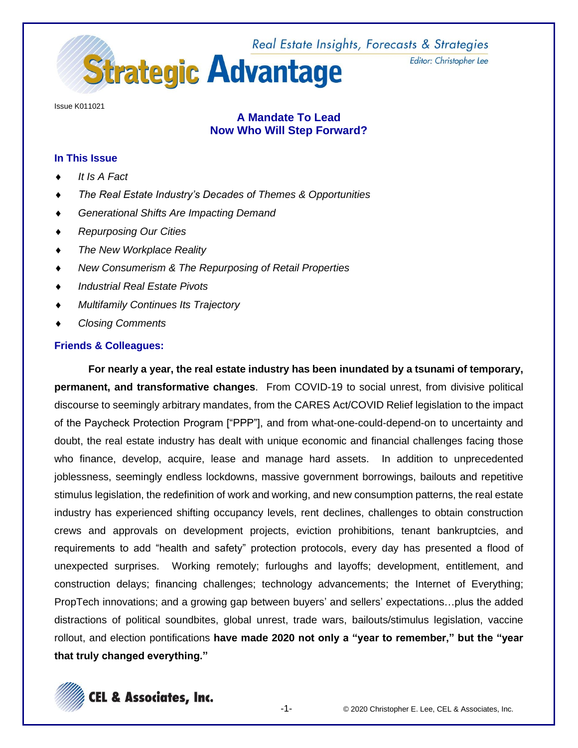

Editor: Christopher Lee

Issue K011021

# **A Mandate To Lead Now Who Will Step Forward?**

# **In This Issue**

- *It Is A Fact*
- *The Real Estate Industry's Decades of Themes & Opportunities*
- *Generational Shifts Are Impacting Demand*
- *Repurposing Our Cities*
- *The New Workplace Reality*
- *New Consumerism & The Repurposing of Retail Properties*
- *Industrial Real Estate Pivots*
- *Multifamily Continues Its Trajectory*
- *Closing Comments*

# **Friends & Colleagues:**

**For nearly a year, the real estate industry has been inundated by a tsunami of temporary, permanent, and transformative changes**. From COVID-19 to social unrest, from divisive political discourse to seemingly arbitrary mandates, from the CARES Act/COVID Relief legislation to the impact of the Paycheck Protection Program ["PPP"], and from what-one-could-depend-on to uncertainty and doubt, the real estate industry has dealt with unique economic and financial challenges facing those who finance, develop, acquire, lease and manage hard assets. In addition to unprecedented joblessness, seemingly endless lockdowns, massive government borrowings, bailouts and repetitive stimulus legislation, the redefinition of work and working, and new consumption patterns, the real estate industry has experienced shifting occupancy levels, rent declines, challenges to obtain construction crews and approvals on development projects, eviction prohibitions, tenant bankruptcies, and requirements to add "health and safety" protection protocols, every day has presented a flood of unexpected surprises. Working remotely; furloughs and layoffs; development, entitlement, and construction delays; financing challenges; technology advancements; the Internet of Everything; PropTech innovations; and a growing gap between buyers' and sellers' expectations…plus the added distractions of political soundbites, global unrest, trade wars, bailouts/stimulus legislation, vaccine rollout, and election pontifications **have made 2020 not only a "year to remember," but the "year that truly changed everything."** 

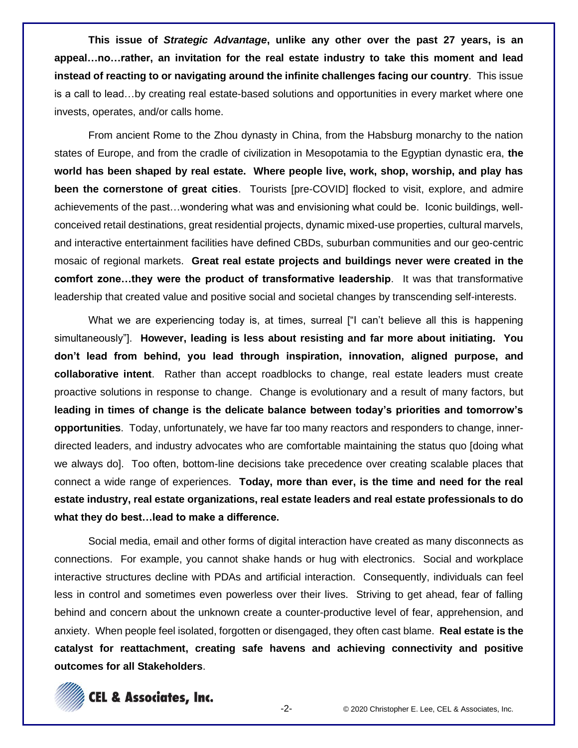**This issue of** *Strategic Advantage***, unlike any other over the past 27 years, is an appeal…no…rather, an invitation for the real estate industry to take this moment and lead instead of reacting to or navigating around the infinite challenges facing our country**. This issue is a call to lead…by creating real estate-based solutions and opportunities in every market where one invests, operates, and/or calls home.

From ancient Rome to the Zhou dynasty in China, from the Habsburg monarchy to the nation states of Europe, and from the cradle of civilization in Mesopotamia to the Egyptian dynastic era, **the world has been shaped by real estate. Where people live, work, shop, worship, and play has been the cornerstone of great cities**. Tourists [pre-COVID] flocked to visit, explore, and admire achievements of the past…wondering what was and envisioning what could be. Iconic buildings, wellconceived retail destinations, great residential projects, dynamic mixed-use properties, cultural marvels, and interactive entertainment facilities have defined CBDs, suburban communities and our geo-centric mosaic of regional markets. **Great real estate projects and buildings never were created in the comfort zone…they were the product of transformative leadership**. It was that transformative leadership that created value and positive social and societal changes by transcending self-interests.

What we are experiencing today is, at times, surreal ["I can't believe all this is happening simultaneously"]. **However, leading is less about resisting and far more about initiating. You don't lead from behind, you lead through inspiration, innovation, aligned purpose, and collaborative intent**. Rather than accept roadblocks to change, real estate leaders must create proactive solutions in response to change. Change is evolutionary and a result of many factors, but **leading in times of change is the delicate balance between today's priorities and tomorrow's opportunities**. Today, unfortunately, we have far too many reactors and responders to change, innerdirected leaders, and industry advocates who are comfortable maintaining the status quo [doing what we always do]. Too often, bottom-line decisions take precedence over creating scalable places that connect a wide range of experiences. **Today, more than ever, is the time and need for the real estate industry, real estate organizations, real estate leaders and real estate professionals to do what they do best…lead to make a difference.**

Social media, email and other forms of digital interaction have created as many disconnects as connections. For example, you cannot shake hands or hug with electronics. Social and workplace interactive structures decline with PDAs and artificial interaction. Consequently, individuals can feel less in control and sometimes even powerless over their lives. Striving to get ahead, fear of falling behind and concern about the unknown create a counter-productive level of fear, apprehension, and anxiety. When people feel isolated, forgotten or disengaged, they often cast blame. **Real estate is the catalyst for reattachment, creating safe havens and achieving connectivity and positive outcomes for all Stakeholders**.

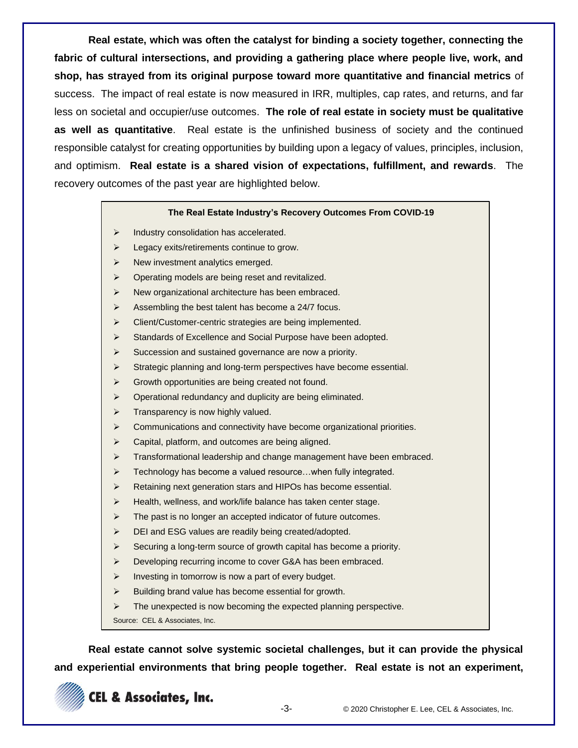**Real estate, which was often the catalyst for binding a society together, connecting the fabric of cultural intersections, and providing a gathering place where people live, work, and shop, has strayed from its original purpose toward more quantitative and financial metrics** of success. The impact of real estate is now measured in IRR, multiples, cap rates, and returns, and far less on societal and occupier/use outcomes. **The role of real estate in society must be qualitative as well as quantitative**. Real estate is the unfinished business of society and the continued responsible catalyst for creating opportunities by building upon a legacy of values, principles, inclusion, and optimism. **Real estate is a shared vision of expectations, fulfillment, and rewards**. The recovery outcomes of the past year are highlighted below.

#### **The Real Estate Industry's Recovery Outcomes From COVID-19**

- ➢ Industry consolidation has accelerated.
- ➢ Legacy exits/retirements continue to grow.
- $\triangleright$  New investment analytics emerged.
- ➢ Operating models are being reset and revitalized.
- ➢ New organizational architecture has been embraced.
- ➢ Assembling the best talent has become a 24/7 focus.
- ➢ Client/Customer-centric strategies are being implemented.
- ➢ Standards of Excellence and Social Purpose have been adopted.
- ➢ Succession and sustained governance are now a priority.
- ➢ Strategic planning and long-term perspectives have become essential.
- ➢ Growth opportunities are being created not found.
- $\triangleright$  Operational redundancy and duplicity are being eliminated.
- $\triangleright$  Transparency is now highly valued.
- ➢ Communications and connectivity have become organizational priorities.
- ➢ Capital, platform, and outcomes are being aligned.
- ➢ Transformational leadership and change management have been embraced.
- ➢ Technology has become a valued resource…when fully integrated.
- ➢ Retaining next generation stars and HIPOs has become essential.
- ➢ Health, wellness, and work/life balance has taken center stage.
- $\triangleright$  The past is no longer an accepted indicator of future outcomes.
- ➢ DEI and ESG values are readily being created/adopted.
- ➢ Securing a long-term source of growth capital has become a priority.
- ➢ Developing recurring income to cover G&A has been embraced.
- ➢ Investing in tomorrow is now a part of every budget.
- ➢ Building brand value has become essential for growth.
- $\triangleright$  The unexpected is now becoming the expected planning perspective.

Source: CEL & Associates, Inc.

**Real estate cannot solve systemic societal challenges, but it can provide the physical and experiential environments that bring people together. Real estate is not an experiment,** 

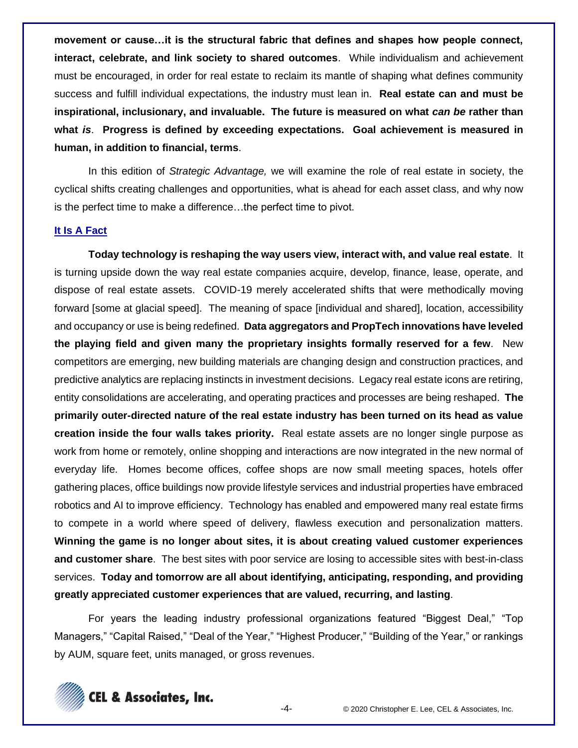**movement or cause…it is the structural fabric that defines and shapes how people connect, interact, celebrate, and link society to shared outcomes**. While individualism and achievement must be encouraged, in order for real estate to reclaim its mantle of shaping what defines community success and fulfill individual expectations, the industry must lean in. **Real estate can and must be inspirational, inclusionary, and invaluable. The future is measured on what** *can be* **rather than what** *is*. **Progress is defined by exceeding expectations. Goal achievement is measured in human, in addition to financial, terms**.

In this edition of *Strategic Advantage,* we will examine the role of real estate in society, the cyclical shifts creating challenges and opportunities, what is ahead for each asset class, and why now is the perfect time to make a difference…the perfect time to pivot.

# **It Is A Fact**

**Today technology is reshaping the way users view, interact with, and value real estate**. It is turning upside down the way real estate companies acquire, develop, finance, lease, operate, and dispose of real estate assets. COVID-19 merely accelerated shifts that were methodically moving forward [some at glacial speed]. The meaning of space [individual and shared], location, accessibility and occupancy or use is being redefined. **Data aggregators and PropTech innovations have leveled the playing field and given many the proprietary insights formally reserved for a few**. New competitors are emerging, new building materials are changing design and construction practices, and predictive analytics are replacing instincts in investment decisions. Legacy real estate icons are retiring, entity consolidations are accelerating, and operating practices and processes are being reshaped. **The primarily outer-directed nature of the real estate industry has been turned on its head as value creation inside the four walls takes priority.** Real estate assets are no longer single purpose as work from home or remotely, online shopping and interactions are now integrated in the new normal of everyday life. Homes become offices, coffee shops are now small meeting spaces, hotels offer gathering places, office buildings now provide lifestyle services and industrial properties have embraced robotics and AI to improve efficiency. Technology has enabled and empowered many real estate firms to compete in a world where speed of delivery, flawless execution and personalization matters. **Winning the game is no longer about sites, it is about creating valued customer experiences and customer share**. The best sites with poor service are losing to accessible sites with best-in-class services. **Today and tomorrow are all about identifying, anticipating, responding, and providing greatly appreciated customer experiences that are valued, recurring, and lasting**.

For years the leading industry professional organizations featured "Biggest Deal," "Top Managers," "Capital Raised," "Deal of the Year," "Highest Producer," "Building of the Year," or rankings by AUM, square feet, units managed, or gross revenues.

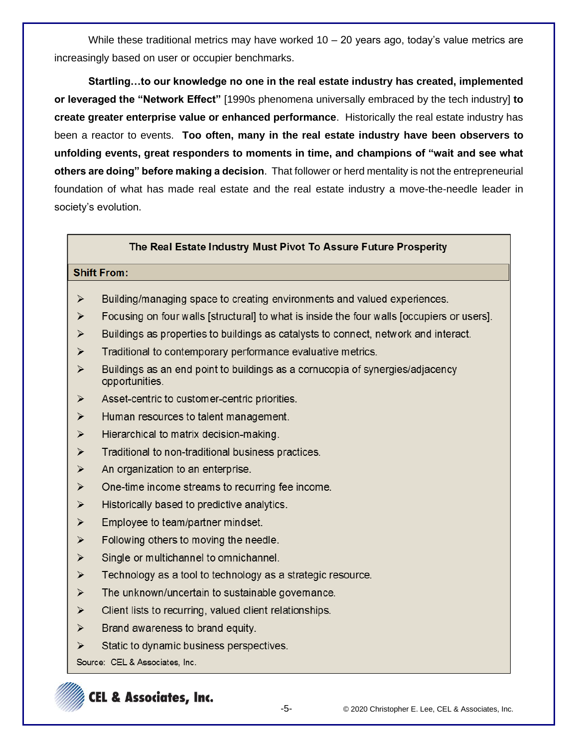While these traditional metrics may have worked  $10 - 20$  years ago, today's value metrics are increasingly based on user or occupier benchmarks.

**Startling…to our knowledge no one in the real estate industry has created, implemented or leveraged the "Network Effect"** [1990s phenomena universally embraced by the tech industry] **to create greater enterprise value or enhanced performance**. Historically the real estate industry has been a reactor to events. **Too often, many in the real estate industry have been observers to unfolding events, great responders to moments in time, and champions of "wait and see what others are doing" before making a decision**. That follower or herd mentality is not the entrepreneurial foundation of what has made real estate and the real estate industry a move-the-needle leader in society's evolution.

## The Real Estate Industry Must Pivot To Assure Future Prosperity

#### **Shift From:**

- $\blacktriangleright$ Building/managing space to creating environments and valued experiences.
- ➤ Focusing on four walls [structural] to what is inside the four walls [occupiers or users].
- $\blacktriangleright$ Buildings as properties to buildings as catalysts to connect, network and interact.
- Traditional to contemporary performance evaluative metrics. ≻
- $\blacktriangleright$ Buildings as an end point to buildings as a cornucopia of synergies/adjacency opportunities.
- ➤ Asset-centric to customer-centric priorities.
- ➤ Human resources to talent management.
- $\blacktriangleright$ Hierarchical to matrix decision-making.
- $\blacktriangleright$ Traditional to non-traditional business practices.
- ➤ An organization to an enterprise.
- $\blacktriangleright$ One-time income streams to recurring fee income.
- $\blacktriangleright$ Historically based to predictive analytics.
- ➤ Employee to team/partner mindset.
- $\blacktriangleright$ Following others to moving the needle.
- $\blacktriangleright$ Single or multichannel to omnichannel.
- ➤ Technology as a tool to technology as a strategic resource.
- $\blacktriangleright$ The unknown/uncertain to sustainable governance.
- ≻ Client lists to recurring, valued client relationships.
- $\blacktriangleright$ Brand awareness to brand equity.
- $\blacktriangleright$ Static to dynamic business perspectives.

Source: CEL & Associates, Inc.

# **CEL & Associates, Inc.**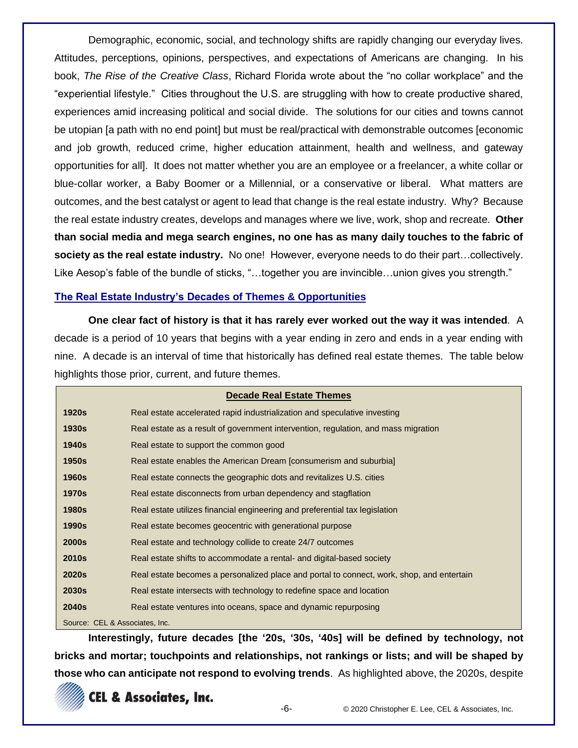Demographic, economic, social, and technology shifts are rapidly changing our everyday lives. Attitudes, perceptions, opinions, perspectives, and expectations of Americans are changing. In his book, *The Rise of the Creative Class*, Richard Florida wrote about the "no collar workplace" and the "experiential lifestyle." Cities throughout the U.S. are struggling with how to create productive shared, experiences amid increasing political and social divide. The solutions for our cities and towns cannot be utopian [a path with no end point] but must be real/practical with demonstrable outcomes [economic and job growth, reduced crime, higher education attainment, health and wellness, and gateway opportunities for all]. It does not matter whether you are an employee or a freelancer, a white collar or blue-collar worker, a Baby Boomer or a Millennial, or a conservative or liberal. What matters are outcomes, and the best catalyst or agent to lead that change is the real estate industry. Why? Because the real estate industry creates, develops and manages where we live, work, shop and recreate. **Other than social media and mega search engines, no one has as many daily touches to the fabric of society as the real estate industry.** No one! However, everyone needs to do their part…collectively. Like Aesop's fable of the bundle of sticks, "…together you are invincible…union gives you strength."

#### **The Real Estate Industry's Decades of Themes & Opportunities**

**One clear fact of history is that it has rarely ever worked out the way it was intended**. A decade is a period of 10 years that begins with a year ending in zero and ends in a year ending with nine. A decade is an interval of time that historically has defined real estate themes. The table below highlights those prior, current, and future themes.

|                                | <b>Decade Real Estate Themes</b>                                                          |
|--------------------------------|-------------------------------------------------------------------------------------------|
| <b>1920s</b>                   | Real estate accelerated rapid industrialization and speculative investing                 |
| <b>1930s</b>                   | Real estate as a result of government intervention, regulation, and mass migration        |
| <b>1940s</b>                   | Real estate to support the common good                                                    |
| 1950s                          | Real estate enables the American Dream [consumerism and suburbia]                         |
| <b>1960s</b>                   | Real estate connects the geographic dots and revitalizes U.S. cities                      |
| <b>1970s</b>                   | Real estate disconnects from urban dependency and stagflation                             |
| <b>1980s</b>                   | Real estate utilizes financial engineering and preferential tax legislation               |
| 1990s                          | Real estate becomes geocentric with generational purpose                                  |
| <b>2000s</b>                   | Real estate and technology collide to create 24/7 outcomes                                |
| 2010 <sub>s</sub>              | Real estate shifts to accommodate a rental- and digital-based society                     |
| <b>2020s</b>                   | Real estate becomes a personalized place and portal to connect, work, shop, and entertain |
| <b>2030s</b>                   | Real estate intersects with technology to redefine space and location                     |
| <b>2040s</b>                   | Real estate ventures into oceans, space and dynamic repurposing                           |
| Source: CEL & Associates, Inc. |                                                                                           |

**Interestingly, future decades [the '20s, '30s, '40s] will be defined by technology, not bricks and mortar; touchpoints and relationships, not rankings or lists; and will be shaped by those who can anticipate not respond to evolving trends**. As highlighted above, the 2020s, despite

# **CEL & Associates, Inc.**

-6- © 2020 Christopher E. Lee, CEL & Associates, Inc.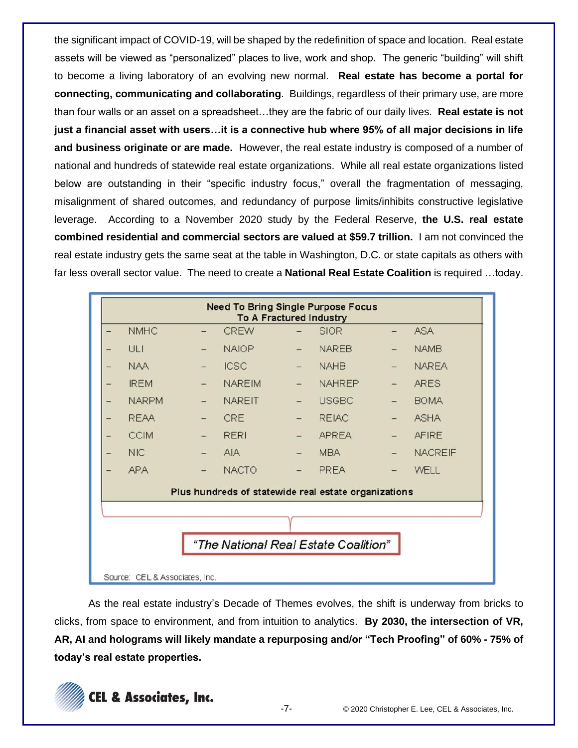the significant impact of COVID-19, will be shaped by the redefinition of space and location. Real estate assets will be viewed as "personalized" places to live, work and shop. The generic "building" will shift to become a living laboratory of an evolving new normal. **Real estate has become a portal for connecting, communicating and collaborating**. Buildings, regardless of their primary use, are more than four walls or an asset on a spreadsheet…they are the fabric of our daily lives. **Real estate is not just a financial asset with users…it is a connective hub where 95% of all major decisions in life and business originate or are made.** However, the real estate industry is composed of a number of national and hundreds of statewide real estate organizations. While all real estate organizations listed below are outstanding in their "specific industry focus," overall the fragmentation of messaging, misalignment of shared outcomes, and redundancy of purpose limits/inhibits constructive legislative leverage. According to a November 2020 study by the Federal Reserve, **the U.S. real estate combined residential and commercial sectors are valued at \$59.7 trillion.** I am not convinced the real estate industry gets the same seat at the table in Washington, D.C. or state capitals as others with far less overall sector value. The need to create a **National Real Estate Coalition** is required …today.

|                                      |                                |                          |                         |                          | <b>Need To Bring Single Purpose Focus</b>            |                          |                |  |
|--------------------------------------|--------------------------------|--------------------------|-------------------------|--------------------------|------------------------------------------------------|--------------------------|----------------|--|
|                                      |                                |                          | To A Fractured Industry |                          |                                                      |                          |                |  |
|                                      | <b>NMHC</b>                    |                          | <b>CREW</b>             |                          | <b>SIOR</b>                                          |                          | <b>ASA</b>     |  |
|                                      | ULI                            |                          | <b>NAIOP</b>            |                          | <b>NAREB</b>                                         |                          | <b>NAMB</b>    |  |
|                                      | <b>NAA</b>                     |                          | <b>ICSC</b>             |                          | <b>NAHB</b>                                          |                          | <b>NAREA</b>   |  |
|                                      | <b>IREM</b>                    |                          | <b>NAREIM</b>           |                          | <b>NAHREP</b>                                        |                          | <b>ARES</b>    |  |
|                                      | <b>NARPM</b>                   |                          | <b>NAREIT</b>           |                          | <b>USGBC</b>                                         |                          | <b>BOMA</b>    |  |
| -                                    | <b>REAA</b>                    | -                        | <b>CRE</b>              | $\overline{\phantom{0}}$ | <b>REIAC</b>                                         | $\overline{\phantom{0}}$ | <b>ASHA</b>    |  |
| -                                    | <b>CCIM</b>                    | $\overline{\phantom{0}}$ | <b>RERI</b>             |                          | <b>APREA</b>                                         | $-$                      | <b>AFIRE</b>   |  |
|                                      | <b>NIC</b>                     |                          | <b>AIA</b>              |                          | <b>MBA</b>                                           |                          | <b>NACREIF</b> |  |
|                                      | <b>APA</b>                     |                          | <b>NACTO</b>            |                          | <b>PREA</b>                                          |                          | WELL           |  |
|                                      |                                |                          |                         |                          | Plus hundreds of statewide real estate organizations |                          |                |  |
|                                      |                                |                          |                         |                          |                                                      |                          |                |  |
|                                      |                                |                          |                         |                          |                                                      |                          |                |  |
|                                      |                                |                          |                         |                          |                                                      |                          |                |  |
| "The National Real Estate Coalition" |                                |                          |                         |                          |                                                      |                          |                |  |
|                                      | Source: CEL & Associates, Inc. |                          |                         |                          |                                                      |                          |                |  |

As the real estate industry's Decade of Themes evolves, the shift is underway from bricks to clicks, from space to environment, and from intuition to analytics. **By 2030, the intersection of VR, AR, AI and holograms will likely mandate a repurposing and/or "Tech Proofing" of 60% - 75% of today's real estate properties.**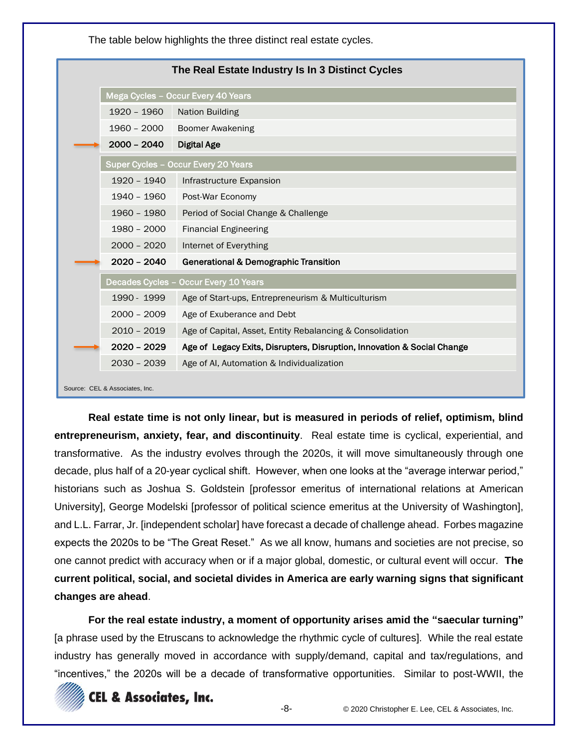The table below highlights the three distinct real estate cycles.

|                                | The Real Estate Industry Is In 3 Distinct Cycles                        |
|--------------------------------|-------------------------------------------------------------------------|
|                                | Mega Cycles - Occur Every 40 Years                                      |
| 1920 - 1960                    | <b>Nation Building</b>                                                  |
| 1960 - 2000                    | <b>Boomer Awakening</b>                                                 |
| $2000 - 2040$                  | <b>Digital Age</b>                                                      |
|                                | Super Cycles - Occur Every 20 Years                                     |
| 1920 - 1940                    | Infrastructure Expansion                                                |
| 1940 - 1960                    | Post-War Economy                                                        |
| 1960 - 1980                    | Period of Social Change & Challenge                                     |
| 1980 - 2000                    | <b>Financial Engineering</b>                                            |
| $2000 - 2020$                  | Internet of Everything                                                  |
| $2020 - 2040$                  | <b>Generational &amp; Demographic Transition</b>                        |
|                                | Decades Cycles - Occur Every 10 Years                                   |
| 1990 - 1999                    | Age of Start-ups, Entrepreneurism & Multiculturism                      |
| $2000 - 2009$                  | Age of Exuberance and Debt                                              |
| $2010 - 2019$                  | Age of Capital, Asset, Entity Rebalancing & Consolidation               |
| $2020 - 2029$                  | Age of Legacy Exits, Disrupters, Disruption, Innovation & Social Change |
| $2030 - 2039$                  | Age of AI, Automation & Individualization                               |
| Source: CEL & Associates, Inc. |                                                                         |

**Real estate time is not only linear, but is measured in periods of relief, optimism, blind entrepreneurism, anxiety, fear, and discontinuity**. Real estate time is cyclical, experiential, and transformative. As the industry evolves through the 2020s, it will move simultaneously through one decade, plus half of a 20-year cyclical shift. However, when one looks at the "average interwar period," historians such as Joshua S. Goldstein [professor emeritus of international relations at American University], George Modelski [professor of political science emeritus at the University of Washington], and L.L. Farrar, Jr. [independent scholar] have forecast a decade of challenge ahead. Forbes magazine expects the 2020s to be "The Great Reset." As we all know, humans and societies are not precise, so one cannot predict with accuracy when or if a major global, domestic, or cultural event will occur. **The current political, social, and societal divides in America are early warning signs that significant changes are ahead**.

**For the real estate industry, a moment of opportunity arises amid the "saecular turning"** [a phrase used by the Etruscans to acknowledge the rhythmic cycle of cultures]. While the real estate industry has generally moved in accordance with supply/demand, capital and tax/regulations, and "incentives," the 2020s will be a decade of transformative opportunities. Similar to post-WWII, the

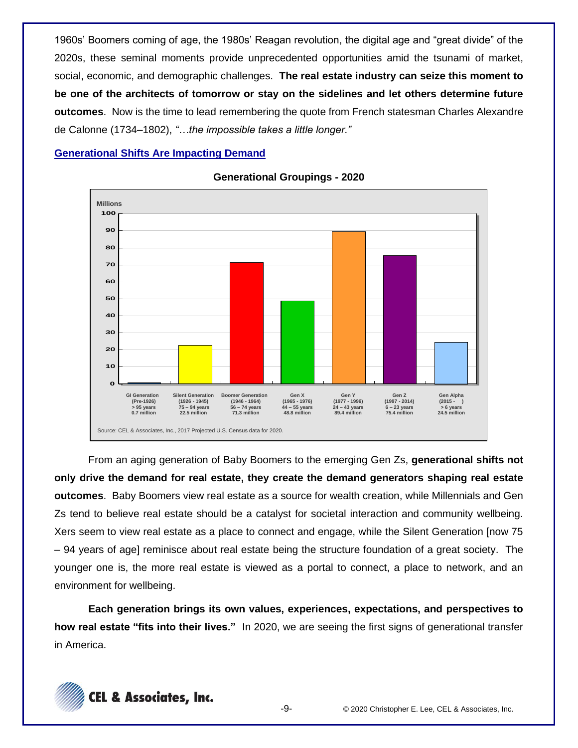1960s' Boomers coming of age, the 1980s' Reagan revolution, the digital age and "great divide" of the 2020s, these seminal moments provide unprecedented opportunities amid the tsunami of market, social, economic, and demographic challenges. **The real estate industry can seize this moment to be one of the architects of tomorrow or stay on the sidelines and let others determine future outcomes**. Now is the time to lead remembering the quote from French statesman Charles Alexandre de Calonne (1734–1802), *"…the impossible takes a little longer."* 

# **Generational Shifts Are Impacting Demand**



**Generational Groupings - 2020**

From an aging generation of Baby Boomers to the emerging Gen Zs, **generational shifts not only drive the demand for real estate, they create the demand generators shaping real estate outcomes**. Baby Boomers view real estate as a source for wealth creation, while Millennials and Gen Zs tend to believe real estate should be a catalyst for societal interaction and community wellbeing. Xers seem to view real estate as a place to connect and engage, while the Silent Generation [now 75 – 94 years of age] reminisce about real estate being the structure foundation of a great society. The younger one is, the more real estate is viewed as a portal to connect, a place to network, and an environment for wellbeing.

**Each generation brings its own values, experiences, expectations, and perspectives to how real estate "fits into their lives."** In 2020, we are seeing the first signs of generational transfer in America.

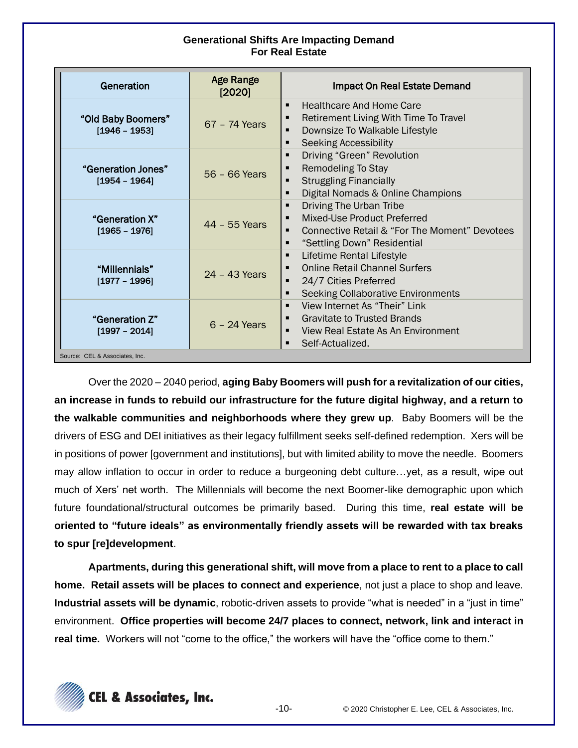# **Generational Shifts Are Impacting Demand For Real Estate**

| Generation                            | Age Range<br>[2020] | <b>Impact On Real Estate Demand</b>                                                                                                                                                                                |
|---------------------------------------|---------------------|--------------------------------------------------------------------------------------------------------------------------------------------------------------------------------------------------------------------|
| "Old Baby Boomers"<br>$[1946 - 1953]$ | 67 - 74 Years       | <b>Healthcare And Home Care</b><br>$\blacksquare$<br>Retirement Living With Time To Travel<br>$\blacksquare$<br>Downsize To Walkable Lifestyle<br>$\blacksquare$<br><b>Seeking Accessibility</b><br>$\blacksquare$ |
| "Generation Jones"<br>$[1954 - 1964]$ | 56 - 66 Years       | Driving "Green" Revolution<br>$\blacksquare$<br>Remodeling To Stay<br>$\blacksquare$<br><b>Struggling Financially</b><br>$\blacksquare$<br>Digital Nomads & Online Champions<br>$\blacksquare$                     |
| "Generation X"<br>$[1965 - 1976]$     | 44 - 55 Years       | Driving The Urban Tribe<br>$\blacksquare$<br>Mixed-Use Product Preferred<br>$\blacksquare$<br>Connective Retail & "For The Moment" Devotees<br>$\blacksquare$<br>"Settling Down" Residential<br>$\blacksquare$     |
| "Millennials"<br>$[1977 - 1996]$      | $24 - 43$ Years     | Lifetime Rental Lifestyle<br>$\blacksquare$<br>Online Retail Channel Surfers<br>$\blacksquare$<br>24/7 Cities Preferred<br>п<br><b>Seeking Collaborative Environments</b><br>п                                     |
| "Generation Z"<br>$[1997 - 2014]$     | $6 - 24$ Years      | View Internet As "Their" Link<br>$\blacksquare$<br><b>Gravitate to Trusted Brands</b><br>п<br>View Real Estate As An Environment<br>$\blacksquare$<br>Self-Actualized.<br>$\blacksquare$                           |
| Source: CEL & Associates, Inc.        |                     |                                                                                                                                                                                                                    |

Over the 2020 – 2040 period, **aging Baby Boomers will push for a revitalization of our cities, an increase in funds to rebuild our infrastructure for the future digital highway, and a return to the walkable communities and neighborhoods where they grew up**. Baby Boomers will be the drivers of ESG and DEI initiatives as their legacy fulfillment seeks self-defined redemption. Xers will be in positions of power [government and institutions], but with limited ability to move the needle. Boomers may allow inflation to occur in order to reduce a burgeoning debt culture…yet, as a result, wipe out much of Xers' net worth. The Millennials will become the next Boomer-like demographic upon which future foundational/structural outcomes be primarily based. During this time, **real estate will be oriented to "future ideals" as environmentally friendly assets will be rewarded with tax breaks to spur [re]development**.

**Apartments, during this generational shift, will move from a place to rent to a place to call home. Retail assets will be places to connect and experience**, not just a place to shop and leave. **Industrial assets will be dynamic**, robotic-driven assets to provide "what is needed" in a "just in time" environment. **Office properties will become 24/7 places to connect, network, link and interact in real time.** Workers will not "come to the office," the workers will have the "office come to them."

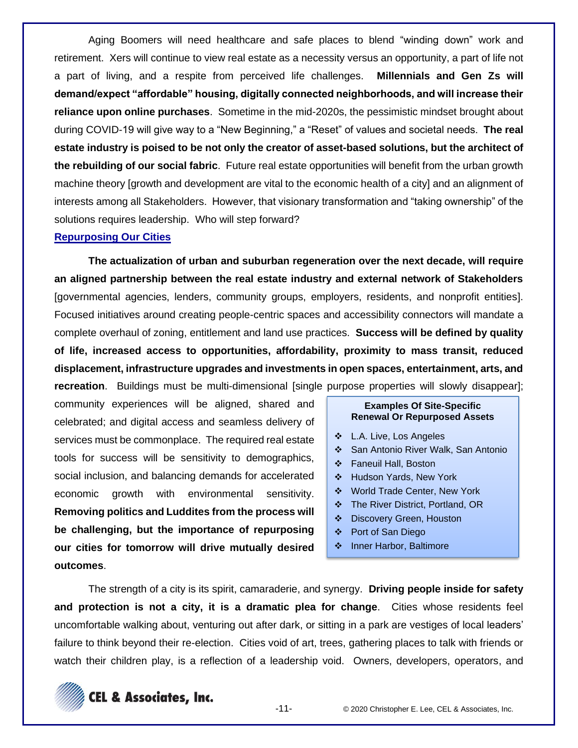Aging Boomers will need healthcare and safe places to blend "winding down" work and retirement. Xers will continue to view real estate as a necessity versus an opportunity, a part of life not a part of living, and a respite from perceived life challenges. **Millennials and Gen Zs will demand/expect "affordable" housing, digitally connected neighborhoods, and will increase their reliance upon online purchases**. Sometime in the mid-2020s, the pessimistic mindset brought about during COVID-19 will give way to a "New Beginning," a "Reset" of values and societal needs. **The real estate industry is poised to be not only the creator of asset-based solutions, but the architect of the rebuilding of our social fabric**. Future real estate opportunities will benefit from the urban growth machine theory [growth and development are vital to the economic health of a city] and an alignment of interests among all Stakeholders. However, that visionary transformation and "taking ownership" of the solutions requires leadership. Who will step forward?

#### **Repurposing Our Cities**

**The actualization of urban and suburban regeneration over the next decade, will require an aligned partnership between the real estate industry and external network of Stakeholders** [governmental agencies, lenders, community groups, employers, residents, and nonprofit entities]. Focused initiatives around creating people-centric spaces and accessibility connectors will mandate a complete overhaul of zoning, entitlement and land use practices. **Success will be defined by quality of life, increased access to opportunities, affordability, proximity to mass transit, reduced displacement, infrastructure upgrades and investments in open spaces, entertainment, arts, and recreation**. Buildings must be multi-dimensional [single purpose properties will slowly disappear];

community experiences will be aligned, shared and celebrated; and digital access and seamless delivery of services must be commonplace. The required real estate tools for success will be sensitivity to demographics, social inclusion, and balancing demands for accelerated economic growth with environmental sensitivity. **Removing politics and Luddites from the process will be challenging, but the importance of repurposing our cities for tomorrow will drive mutually desired outcomes**.

#### **Examples Of Site-Specific Renewal Or Repurposed Assets**

- ❖ L.A. Live, Los Angeles
- ❖ San Antonio River Walk, San Antonio
- ❖ Faneuil Hall, Boston
- ❖ Hudson Yards, New York
- ❖ World Trade Center, New York
- ❖ The River District, Portland, OR
- ❖ Discovery Green, Houston
- ❖ Port of San Diego
- ❖ Inner Harbor, Baltimore

The strength of a city is its spirit, camaraderie, and synergy. **Driving people inside for safety and protection is not a city, it is a dramatic plea for change**. Cities whose residents feel uncomfortable walking about, venturing out after dark, or sitting in a park are vestiges of local leaders' failure to think beyond their re-election. Cities void of art, trees, gathering places to talk with friends or watch their children play, is a reflection of a leadership void. Owners, developers, operators, and

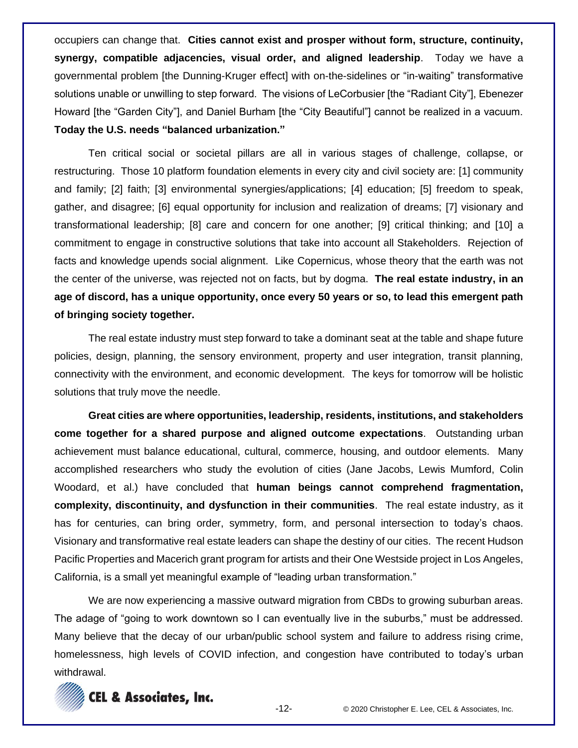occupiers can change that. **Cities cannot exist and prosper without form, structure, continuity, synergy, compatible adjacencies, visual order, and aligned leadership**. Today we have a governmental problem [the Dunning-Kruger effect] with on-the-sidelines or "in-waiting" transformative solutions unable or unwilling to step forward. The visions of LeCorbusier [the "Radiant City"], Ebenezer Howard [the "Garden City"], and Daniel Burham [the "City Beautiful"] cannot be realized in a vacuum. **Today the U.S. needs "balanced urbanization."**

Ten critical social or societal pillars are all in various stages of challenge, collapse, or restructuring. Those 10 platform foundation elements in every city and civil society are: [1] community and family; [2] faith; [3] environmental synergies/applications; [4] education; [5] freedom to speak, gather, and disagree; [6] equal opportunity for inclusion and realization of dreams; [7] visionary and transformational leadership; [8] care and concern for one another; [9] critical thinking; and [10] a commitment to engage in constructive solutions that take into account all Stakeholders. Rejection of facts and knowledge upends social alignment. Like Copernicus, whose theory that the earth was not the center of the universe, was rejected not on facts, but by dogma. **The real estate industry, in an age of discord, has a unique opportunity, once every 50 years or so, to lead this emergent path of bringing society together.**

The real estate industry must step forward to take a dominant seat at the table and shape future policies, design, planning, the sensory environment, property and user integration, transit planning, connectivity with the environment, and economic development. The keys for tomorrow will be holistic solutions that truly move the needle.

**Great cities are where opportunities, leadership, residents, institutions, and stakeholders come together for a shared purpose and aligned outcome expectations**. Outstanding urban achievement must balance educational, cultural, commerce, housing, and outdoor elements. Many accomplished researchers who study the evolution of cities (Jane Jacobs, Lewis Mumford, Colin Woodard, et al.) have concluded that **human beings cannot comprehend fragmentation, complexity, discontinuity, and dysfunction in their communities**. The real estate industry, as it has for centuries, can bring order, symmetry, form, and personal intersection to today's chaos. Visionary and transformative real estate leaders can shape the destiny of our cities. The recent Hudson Pacific Properties and Macerich grant program for artists and their One Westside project in Los Angeles, California, is a small yet meaningful example of "leading urban transformation."

We are now experiencing a massive outward migration from CBDs to growing suburban areas. The adage of "going to work downtown so I can eventually live in the suburbs," must be addressed. Many believe that the decay of our urban/public school system and failure to address rising crime, homelessness, high levels of COVID infection, and congestion have contributed to today's urban withdrawal.

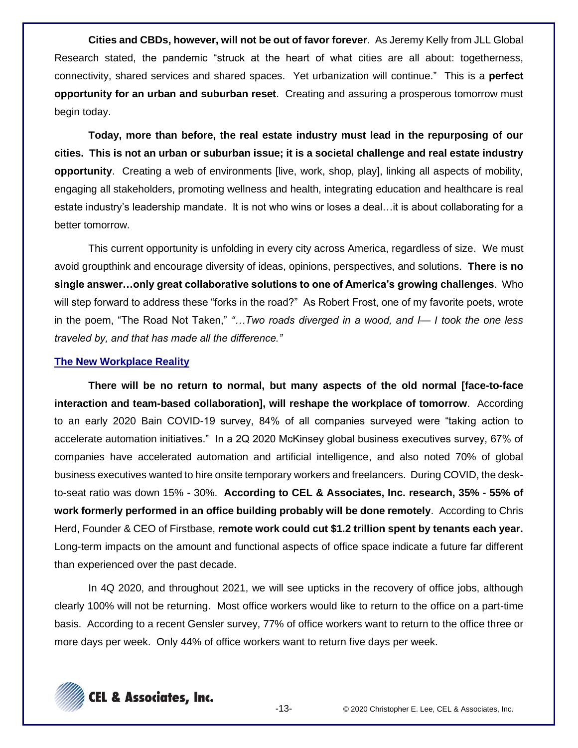**Cities and CBDs, however, will not be out of favor forever**. As Jeremy Kelly from JLL Global Research stated, the pandemic "struck at the heart of what cities are all about: togetherness, connectivity, shared services and shared spaces. Yet urbanization will continue." This is a **perfect opportunity for an urban and suburban reset**. Creating and assuring a prosperous tomorrow must begin today.

**Today, more than before, the real estate industry must lead in the repurposing of our cities. This is not an urban or suburban issue; it is a societal challenge and real estate industry opportunity**. Creating a web of environments [live, work, shop, play], linking all aspects of mobility, engaging all stakeholders, promoting wellness and health, integrating education and healthcare is real estate industry's leadership mandate. It is not who wins or loses a deal…it is about collaborating for a better tomorrow.

This current opportunity is unfolding in every city across America, regardless of size. We must avoid groupthink and encourage diversity of ideas, opinions, perspectives, and solutions. **There is no single answer…only great collaborative solutions to one of America's growing challenges**. Who will step forward to address these "forks in the road?" As Robert Frost, one of my favorite poets, wrote in the poem, "The Road Not Taken," *"…Two roads diverged in a wood, and I— I took the one less traveled by, and that has made all the difference."*

## **The New Workplace Reality**

**There will be no return to normal, but many aspects of the old normal [face-to-face interaction and team-based collaboration], will reshape the workplace of tomorrow**. According to an early 2020 Bain COVID-19 survey, 84% of all companies surveyed were "taking action to accelerate automation initiatives." In a 2Q 2020 McKinsey global business executives survey, 67% of companies have accelerated automation and artificial intelligence, and also noted 70% of global business executives wanted to hire onsite temporary workers and freelancers. During COVID, the deskto-seat ratio was down 15% - 30%. **According to CEL & Associates, Inc. research, 35% - 55% of work formerly performed in an office building probably will be done remotely**. According to Chris Herd, Founder & CEO of Firstbase, **remote work could cut \$1.2 trillion spent by tenants each year.** Long-term impacts on the amount and functional aspects of office space indicate a future far different than experienced over the past decade.

In 4Q 2020, and throughout 2021, we will see upticks in the recovery of office jobs, although clearly 100% will not be returning. Most office workers would like to return to the office on a part-time basis. According to a recent Gensler survey, 77% of office workers want to return to the office three or more days per week. Only 44% of office workers want to return five days per week.

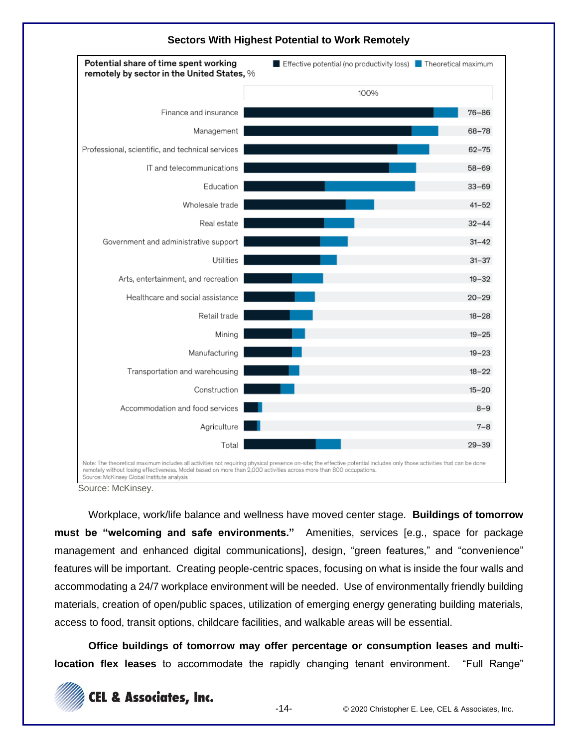

# **Sectors With Highest Potential to Work Remotely**

Source: McKinsey.

Workplace, work/life balance and wellness have moved center stage. **Buildings of tomorrow must be "welcoming and safe environments."** Amenities, services [e.g., space for package management and enhanced digital communications], design, "green features," and "convenience" features will be important. Creating people-centric spaces, focusing on what is inside the four walls and accommodating a 24/7 workplace environment will be needed. Use of environmentally friendly building materials, creation of open/public spaces, utilization of emerging energy generating building materials, access to food, transit options, childcare facilities, and walkable areas will be essential.

**Office buildings of tomorrow may offer percentage or consumption leases and multilocation flex leases** to accommodate the rapidly changing tenant environment. "Full Range"

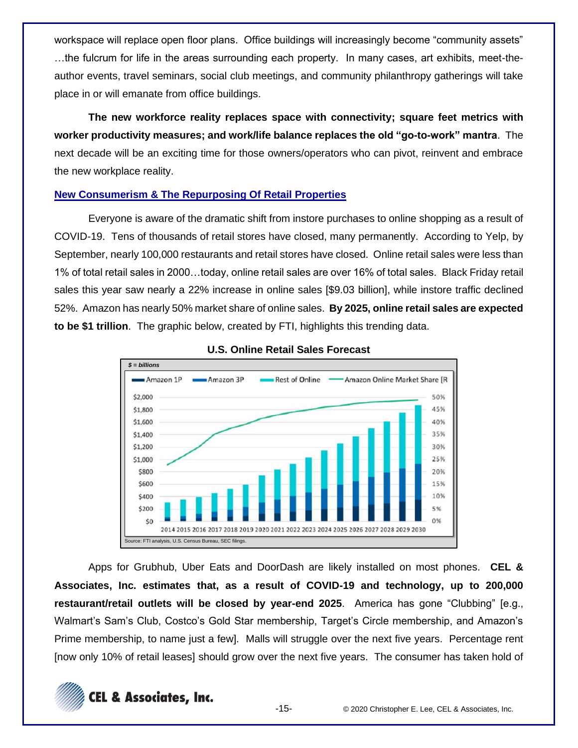workspace will replace open floor plans. Office buildings will increasingly become "community assets" …the fulcrum for life in the areas surrounding each property. In many cases, art exhibits, meet-theauthor events, travel seminars, social club meetings, and community philanthropy gatherings will take place in or will emanate from office buildings.

**The new workforce reality replaces space with connectivity; square feet metrics with worker productivity measures; and work/life balance replaces the old "go-to-work" mantra**. The next decade will be an exciting time for those owners/operators who can pivot, reinvent and embrace the new workplace reality.

# **New Consumerism & The Repurposing Of Retail Properties**

Everyone is aware of the dramatic shift from instore purchases to online shopping as a result of COVID-19. Tens of thousands of retail stores have closed, many permanently. According to Yelp, by September, nearly 100,000 restaurants and retail stores have closed. Online retail sales were less than 1% of total retail sales in 2000…today, online retail sales are over 16% of total sales. Black Friday retail sales this year saw nearly a 22% increase in online sales [\$9.03 billion], while instore traffic declined 52%. Amazon has nearly 50% market share of online sales. **By 2025, online retail sales are expected to be \$1 trillion**. The graphic below, created by FTI, highlights this trending data.



## **U.S. Online Retail Sales Forecast**

Apps for Grubhub, Uber Eats and DoorDash are likely installed on most phones. **CEL & Associates, Inc. estimates that, as a result of COVID-19 and technology, up to 200,000 restaurant/retail outlets will be closed by year-end 2025**. America has gone "Clubbing" [e.g., Walmart's Sam's Club, Costco's Gold Star membership, Target's Circle membership, and Amazon's Prime membership, to name just a few]. Malls will struggle over the next five years. Percentage rent [now only 10% of retail leases] should grow over the next five years. The consumer has taken hold of

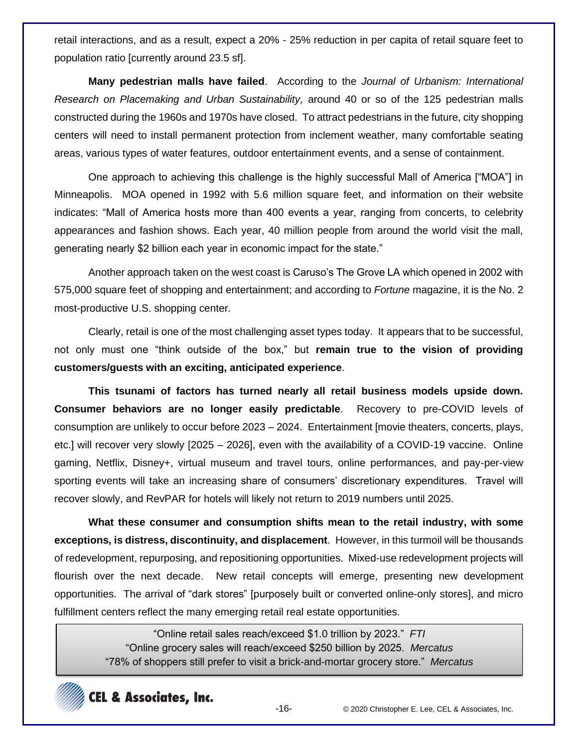retail interactions, and as a result, expect a 20% - 25% reduction in per capita of retail square feet to population ratio [currently around 23.5 sf].

**Many pedestrian malls have failed**. According to the *Journal of Urbanism: International Research on Placemaking and Urban Sustainability,* around 40 or so of the 125 pedestrian malls constructed during the 1960s and 1970s have closed. To attract pedestrians in the future, city shopping centers will need to install permanent protection from inclement weather, many comfortable seating areas, various types of water features, outdoor entertainment events, and a sense of containment.

One approach to achieving this challenge is the highly successful Mall of America ["MOA"] in Minneapolis. MOA opened in 1992 with 5.6 million square feet, and information on their website indicates: "Mall of America hosts more than 400 events a year, ranging from concerts, to celebrity appearances and fashion shows. Each year, 40 million people from around the world visit the mall, generating nearly \$2 billion each year in economic impact for the state."

Another approach taken on the west coast is Caruso's The Grove LA which opened in 2002 with 575,000 square feet of shopping and entertainment; and according to *Fortune* magazine, it is the No. 2 most-productive U.S. shopping center.

Clearly, retail is one of the most challenging asset types today. It appears that to be successful, not only must one "think outside of the box," but **remain true to the vision of providing customers/guests with an exciting, anticipated experience**.

**This tsunami of factors has turned nearly all retail business models upside down. Consumer behaviors are no longer easily predictable**. Recovery to pre-COVID levels of consumption are unlikely to occur before 2023 – 2024. Entertainment [movie theaters, concerts, plays, etc.] will recover very slowly [2025 – 2026], even with the availability of a COVID-19 vaccine. Online gaming, Netflix, Disney+, virtual museum and travel tours, online performances, and pay-per-view sporting events will take an increasing share of consumers' discretionary expenditures. Travel will recover slowly, and RevPAR for hotels will likely not return to 2019 numbers until 2025.

**What these consumer and consumption shifts mean to the retail industry, with some exceptions, is distress, discontinuity, and displacement**. However, in this turmoil will be thousands of redevelopment, repurposing, and repositioning opportunities. Mixed-use redevelopment projects will flourish over the next decade. New retail concepts will emerge, presenting new development opportunities. The arrival of "dark stores" [purposely built or converted online-only stores], and micro fulfillment centers reflect the many emerging retail real estate opportunities.

> "Online retail sales reach/exceed \$1.0 trillion by 2023." *FTI* "Online grocery sales will reach/exceed \$250 billion by 2025. *Mercatus* "78% of shoppers still prefer to visit a brick-and-mortar grocery store." *Mercatus*



-16- © 2020 Christopher E. Lee, CEL & Associates, Inc.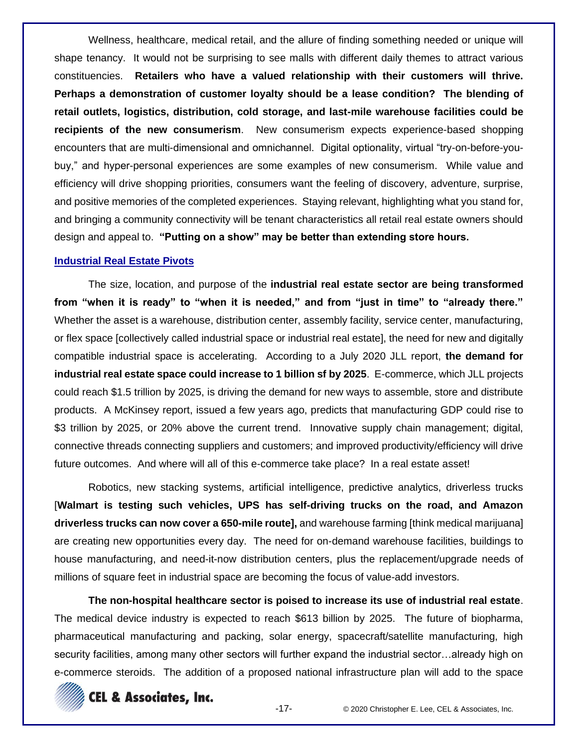Wellness, healthcare, medical retail, and the allure of finding something needed or unique will shape tenancy. It would not be surprising to see malls with different daily themes to attract various constituencies. **Retailers who have a valued relationship with their customers will thrive. Perhaps a demonstration of customer loyalty should be a lease condition? The blending of retail outlets, logistics, distribution, cold storage, and last-mile warehouse facilities could be recipients of the new consumerism**. New consumerism expects experience-based shopping encounters that are multi-dimensional and omnichannel. Digital optionality, virtual "try-on-before-youbuy," and hyper-personal experiences are some examples of new consumerism. While value and efficiency will drive shopping priorities, consumers want the feeling of discovery, adventure, surprise, and positive memories of the completed experiences. Staying relevant, highlighting what you stand for, and bringing a community connectivity will be tenant characteristics all retail real estate owners should design and appeal to. **"Putting on a show" may be better than extending store hours.**

#### **Industrial Real Estate Pivots**

The size, location, and purpose of the **industrial real estate sector are being transformed from "when it is ready" to "when it is needed," and from "just in time" to "already there."** Whether the asset is a warehouse, distribution center, assembly facility, service center, manufacturing, or flex space [collectively called industrial space or industrial real estate], the need for new and digitally compatible industrial space is accelerating. According to a July 2020 JLL report, **the demand for industrial real estate space could increase to 1 billion sf by 2025**. E-commerce, which JLL projects could reach \$1.5 trillion by 2025, is driving the demand for new ways to assemble, store and distribute products. A McKinsey report, issued a few years ago, predicts that manufacturing GDP could rise to \$3 trillion by 2025, or 20% above the current trend. Innovative supply chain management; digital, connective threads connecting suppliers and customers; and improved productivity/efficiency will drive future outcomes. And where will all of this e-commerce take place? In a real estate asset!

Robotics, new stacking systems, artificial intelligence, predictive analytics, driverless trucks [**Walmart is testing such vehicles, UPS has self-driving trucks on the road, and Amazon driverless trucks can now cover a 650-mile route],** and warehouse farming [think medical marijuana] are creating new opportunities every day. The need for on-demand warehouse facilities, buildings to house manufacturing, and need-it-now distribution centers, plus the replacement/upgrade needs of millions of square feet in industrial space are becoming the focus of value-add investors.

**The non-hospital healthcare sector is poised to increase its use of industrial real estate**. The medical device industry is expected to reach \$613 billion by 2025. The future of biopharma, pharmaceutical manufacturing and packing, solar energy, spacecraft/satellite manufacturing, high security facilities, among many other sectors will further expand the industrial sector…already high on e-commerce steroids. The addition of a proposed national infrastructure plan will add to the space

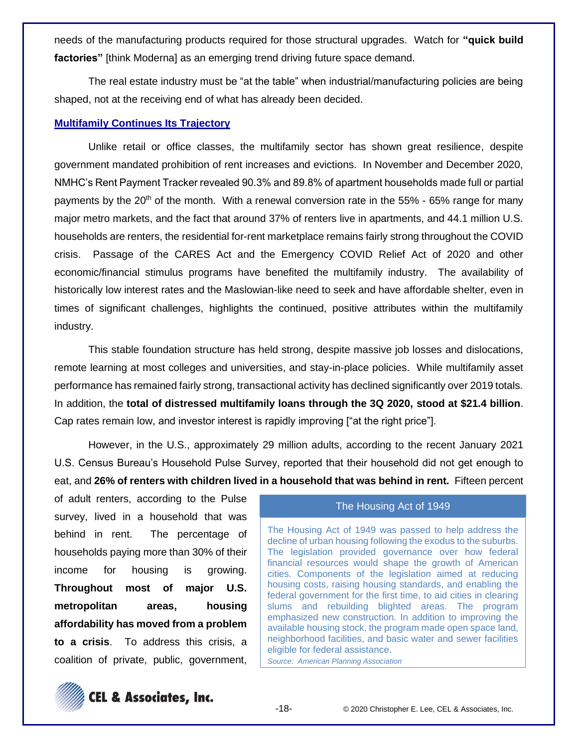needs of the manufacturing products required for those structural upgrades. Watch for **"quick build factories"** [think Moderna] as an emerging trend driving future space demand.

The real estate industry must be "at the table" when industrial/manufacturing policies are being shaped, not at the receiving end of what has already been decided.

## **Multifamily Continues Its Trajectory**

Unlike retail or office classes, the multifamily sector has shown great resilience, despite government mandated prohibition of rent increases and evictions. In November and December 2020, NMHC's Rent Payment Tracker revealed 90.3% and 89.8% of apartment households made full or partial payments by the 20<sup>th</sup> of the month. With a renewal conversion rate in the 55% - 65% range for many major metro markets, and the fact that around 37% of renters live in apartments, and 44.1 million U.S. households are renters, the residential for-rent marketplace remains fairly strong throughout the COVID crisis. Passage of the CARES Act and the Emergency COVID Relief Act of 2020 and other economic/financial stimulus programs have benefited the multifamily industry. The availability of historically low interest rates and the Maslowian-like need to seek and have affordable shelter, even in times of significant challenges, highlights the continued, positive attributes within the multifamily industry.

This stable foundation structure has held strong, despite massive job losses and dislocations, remote learning at most colleges and universities, and stay-in-place policies. While multifamily asset performance has remained fairly strong, transactional activity has declined significantly over 2019 totals. In addition, the **total of distressed multifamily loans through the 3Q 2020, stood at \$21.4 billion**. Cap rates remain low, and investor interest is rapidly improving ["at the right price"].

However, in the U.S., approximately 29 million adults, according to the recent January 2021 U.S. Census Bureau's Household Pulse Survey, reported that their household did not get enough to eat, and **26% of renters with children lived in a household that was behind in rent.** Fifteen percent

of adult renters, according to the Pulse survey, lived in a household that was behind in rent. The percentage of households paying more than 30% of their income for housing is growing. **Throughout most of major U.S. metropolitan areas, housing affordability has moved from a problem to a crisis**. To address this crisis, a coalition of private, public, government,

# The Housing Act of 1949

The Housing Act of 1949 was passed to help address the decline of urban housing following the exodus to the suburbs. The legislation provided governance over how federal financial resources would shape the growth of American cities. Components of the legislation aimed at reducing housing costs, raising housing standards, and enabling the federal government for the first time, to aid cities in clearing slums and rebuilding blighted areas. The program emphasized new construction. In addition to improving the available housing stock, the program made open space land, neighborhood facilities, and basic water and sewer facilities eligible for federal assistance.

*Source: American Planning Association*

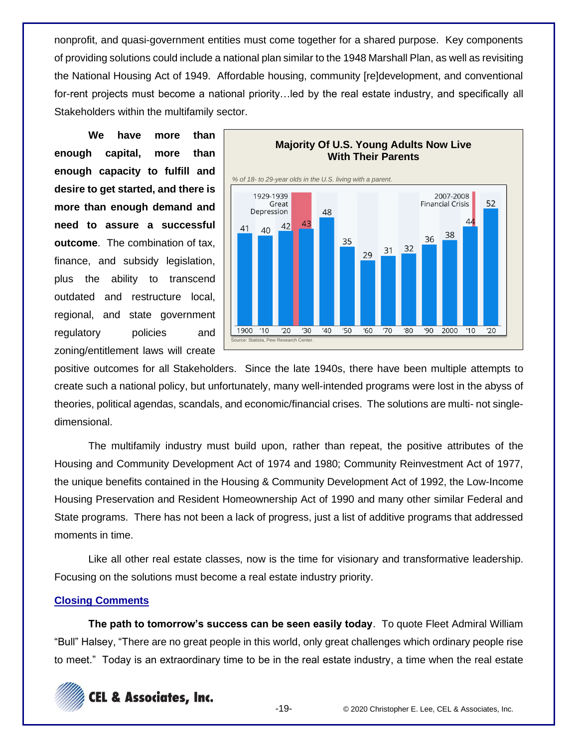nonprofit, and quasi-government entities must come together for a shared purpose. Key components of providing solutions could include a national plan similar to the 1948 Marshall Plan, as well as revisiting the National Housing Act of 1949. Affordable housing, community [re]development, and conventional for-rent projects must become a national priority…led by the real estate industry, and specifically all Stakeholders within the multifamily sector.

**We have more than enough capital, more than enough capacity to fulfill and desire to get started, and there is more than enough demand and need to assure a successful outcome**. The combination of tax, finance, and subsidy legislation, plus the ability to transcend outdated and restructure local, regional, and state government regulatory policies and zoning/entitlement laws will create



positive outcomes for all Stakeholders. Since the late 1940s, there have been multiple attempts to create such a national policy, but unfortunately, many well-intended programs were lost in the abyss of theories, political agendas, scandals, and economic/financial crises. The solutions are multi- not singledimensional.

The multifamily industry must build upon, rather than repeat, the positive attributes of the Housing and Community Development Act of 1974 and 1980; Community Reinvestment Act of 1977, the unique benefits contained in the Housing & Community Development Act of 1992, the Low-Income Housing Preservation and Resident Homeownership Act of 1990 and many other similar Federal and State programs. There has not been a lack of progress, just a list of additive programs that addressed moments in time.

Like all other real estate classes, now is the time for visionary and transformative leadership. Focusing on the solutions must become a real estate industry priority.

# **Closing Comments**

**The path to tomorrow's success can be seen easily today**. To quote Fleet Admiral William "Bull" Halsey, "There are no great people in this world, only great challenges which ordinary people rise to meet." Today is an extraordinary time to be in the real estate industry, a time when the real estate

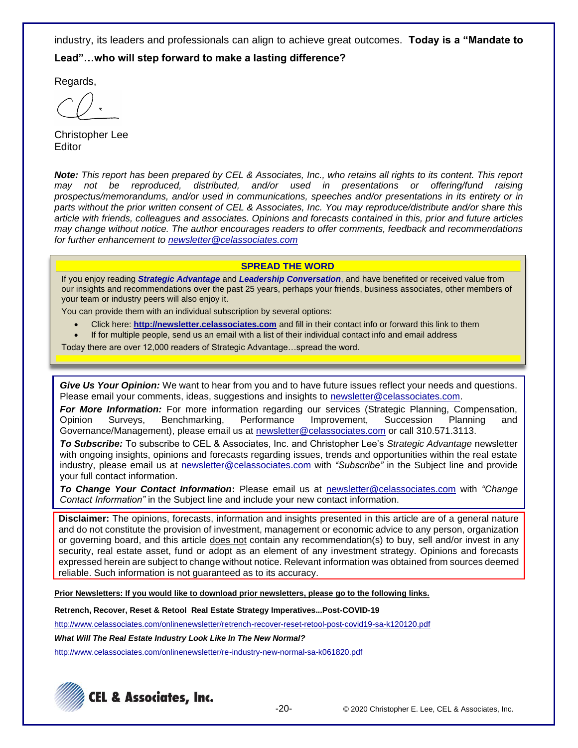industry, its leaders and professionals can align to achieve great outcomes. **Today is a "Mandate to Lead"…who will step forward to make a lasting difference?**

Regards,

Christopher Lee Editor

*Note: This report has been prepared by CEL & Associates, Inc., who retains all rights to its content. This report may not be reproduced, distributed, and/or used in presentations or offering/fund raising prospectus/memorandums, and/or used in communications, speeches and/or presentations in its entirety or in parts without the prior written consent of CEL & Associates, Inc. You may reproduce/distribute and/or share this article with friends, colleagues and associates. Opinions and forecasts contained in this, prior and future articles may change without notice. The author encourages readers to offer comments, feedback and recommendations for further enhancement to [newsletter@celassociates.com](mailto:newsletter@celassociates.com)*

#### **SPREAD THE WORD**

If you enjoy reading *Strategic Advantage* and *Leadership Conversation*, and have benefited or received value from our insights and recommendations over the past 25 years, perhaps your friends, business associates, other members of your team or industry peers will also enjoy it.

You can provide them with an individual subscription by several options:

- Click here: **http://newsletter.celassociates.com** and fill in their contact info or forward this link to them
- If for multiple people, send us an email with a list of their individual contact info and email address

Today there are over 12,000 readers of Strategic Advantage…spread the word.

*Give Us Your Opinion:* We want to hear from you and to have future issues reflect your needs and questions. Please email your comments, ideas, suggestions and insights to newsletter@celassociates.com.

*For More Information:* For more information regarding our services (Strategic Planning, Compensation, Opinion Surveys, Benchmarking, Performance Improvement, Succession Planning and Governance/Management), please email us at newsletter@celassociates.com or call 310.571.3113.

*To Subscribe:* To subscribe to CEL & Associates, Inc. and Christopher Lee's *Strategic Advantage* newsletter with ongoing insights, opinions and forecasts regarding issues, trends and opportunities within the real estate industry, please email us at newsletter@celassociates.com with *"Subscribe"* in the Subject line and provide your full contact information.

*To Change Your Contact Information***:** Please email us at newsletter@celassociates.com with *"Change Contact Information"* in the Subject line and include your new contact information.

**Disclaimer:** The opinions, forecasts, information and insights presented in this article are of a general nature and do not constitute the provision of investment, management or economic advice to any person, organization or governing board, and this article does not contain any recommendation(s) to buy, sell and/or invest in any security, real estate asset, fund or adopt as an element of any investment strategy. Opinions and forecasts expressed herein are subject to change without notice. Relevant information was obtained from sources deemed reliable. Such information is not guaranteed as to its accuracy.

**Prior Newsletters: If you would like to download prior newsletters, please go to the following links.**

**Retrench, Recover, Reset & Retool Real Estate Strategy Imperatives...Post-COVID-19**

<http://www.celassociates.com/onlinenewsletter/retrench-recover-reset-retool-post-covid19-sa-k120120.pdf>

*What Will The Real Estate Industry Look Like In The New Normal?*

<http://www.celassociates.com/onlinenewsletter/re-industry-new-normal-sa-k061820.pdf>